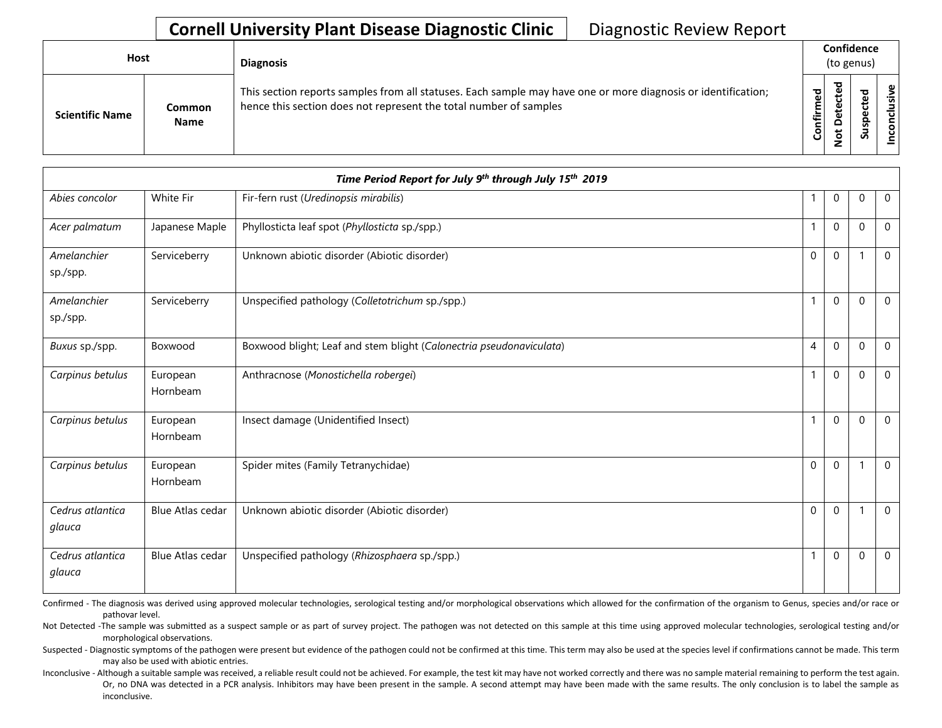| <b>Host</b>            |                       | <b>Diagnosis</b>                                                                                                                                                                   |               | Confidence<br>(to genus) |   |                |
|------------------------|-----------------------|------------------------------------------------------------------------------------------------------------------------------------------------------------------------------------|---------------|--------------------------|---|----------------|
| <b>Scientific Name</b> | Common<br><b>Name</b> | This section reports samples from all statuses. Each sample may have one or more diagnosis or identification;<br>hence this section does not represent the total number of samples | ᇴ<br>Confirme | ᇴ                        | S | clusive<br>con |

|                            |                      | Time Period Report for July 9th through July 15th 2019              |             |              |              |                |
|----------------------------|----------------------|---------------------------------------------------------------------|-------------|--------------|--------------|----------------|
| Abies concolor             | White Fir            | Fir-fern rust (Uredinopsis mirabilis)                               |             | $\mathbf 0$  | $\Omega$     | $\overline{0}$ |
| Acer palmatum              | Japanese Maple       | Phyllosticta leaf spot (Phyllosticta sp./spp.)                      |             | $\mathbf 0$  | $\Omega$     | $\mathbf 0$    |
| Amelanchier<br>sp./spp.    | Serviceberry         | Unknown abiotic disorder (Abiotic disorder)                         | $\mathbf 0$ | $\mathbf{0}$ |              | $\mathbf 0$    |
| Amelanchier<br>sp./spp.    | Serviceberry         | Unspecified pathology (Colletotrichum sp./spp.)                     |             | $\mathbf 0$  | $\Omega$     | $\overline{0}$ |
| Buxus sp./spp.             | Boxwood              | Boxwood blight; Leaf and stem blight (Calonectria pseudonaviculata) | 4           | $\mathbf 0$  | $\mathbf{0}$ | $\mathbf 0$    |
| Carpinus betulus           | European<br>Hornbeam | Anthracnose (Monostichella robergei)                                |             | $\mathbf 0$  | $\Omega$     | $\mathbf 0$    |
| Carpinus betulus           | European<br>Hornbeam | Insect damage (Unidentified Insect)                                 |             | $\mathbf{0}$ | $\Omega$     | $\mathbf 0$    |
| Carpinus betulus           | European<br>Hornbeam | Spider mites (Family Tetranychidae)                                 | $\Omega$    | $\mathbf{0}$ |              | $\mathbf 0$    |
| Cedrus atlantica<br>glauca | Blue Atlas cedar     | Unknown abiotic disorder (Abiotic disorder)                         | $\mathbf 0$ | $\mathbf 0$  |              | $\mathbf 0$    |
| Cedrus atlantica<br>glauca | Blue Atlas cedar     | Unspecified pathology (Rhizosphaera sp./spp.)                       |             | $\mathbf 0$  | $\Omega$     | $\mathbf 0$    |

Confirmed - The diagnosis was derived using approved molecular technologies, serological testing and/or morphological observations which allowed for the confirmation of the organism to Genus, species and/or race or pathovar level.

Not Detected -The sample was submitted as a suspect sample or as part of survey project. The pathogen was not detected on this sample at this time using approved molecular technologies, serological testing and/or morphological observations.

Suspected - Diagnostic symptoms of the pathogen were present but evidence of the pathogen could not be confirmed at this time. This term may also be used at the species level if confirmations cannot be made. This term may also be used with abiotic entries.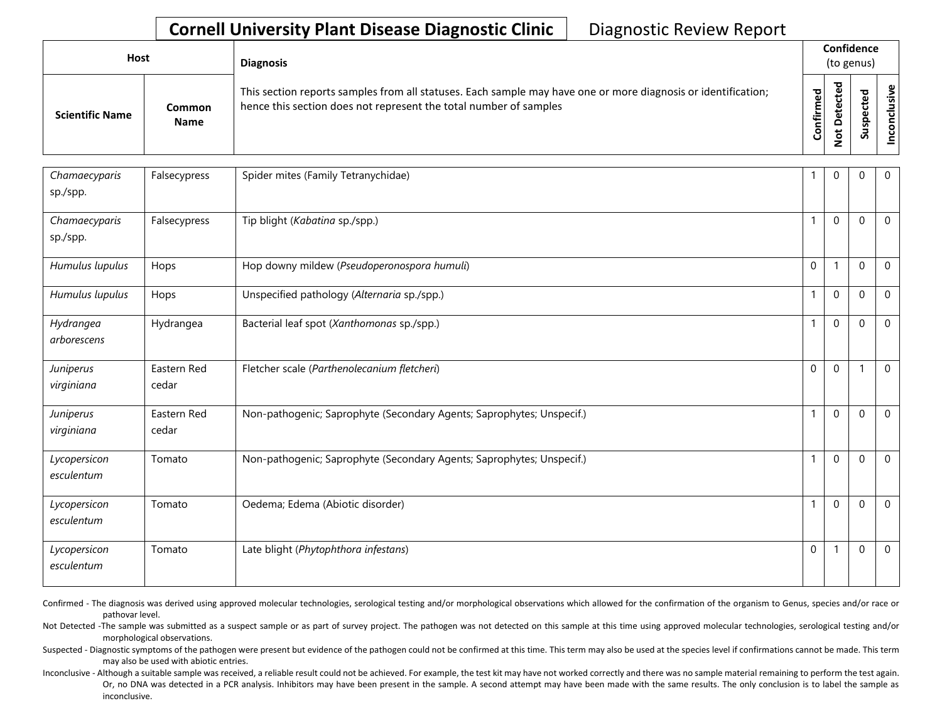| <b>Host</b>            |                       | <b>Diagnosis</b>                                                                                                                                                                   |           | Confidence<br>(to genus)         |   |                       |
|------------------------|-----------------------|------------------------------------------------------------------------------------------------------------------------------------------------------------------------------------|-----------|----------------------------------|---|-----------------------|
| <b>Scientific Name</b> | Common<br><b>Name</b> | This section reports samples from all statuses. Each sample may have one or more diagnosis or identification;<br>hence this section does not represent the total number of samples | Confirmed | ᇃ<br>ں<br>Φ<br>یو<br>≏<br>پ<br>- | n | ω<br><u>.နိ</u><br>᠊ᠣ |

| Chamaecyparis<br>sp./spp.  | Falsecypress         | Spider mites (Family Tetranychidae)                                   |              | $\Omega$     | $\Omega$     | $\mathbf 0$    |
|----------------------------|----------------------|-----------------------------------------------------------------------|--------------|--------------|--------------|----------------|
| Chamaecyparis<br>sp./spp.  | Falsecypress         | Tip blight (Kabatina sp./spp.)                                        | $\mathbf{1}$ | $\mathbf{0}$ | $\Omega$     | $\mathbf 0$    |
| Humulus lupulus            | Hops                 | Hop downy mildew (Pseudoperonospora humuli)                           | $\mathbf 0$  |              | $\Omega$     | $\mathbf 0$    |
| Humulus lupulus            | Hops                 | Unspecified pathology (Alternaria sp./spp.)                           | $\mathbf{1}$ | $\mathbf{0}$ | $\mathbf{0}$ | $\mathbf 0$    |
| Hydrangea<br>arborescens   | Hydrangea            | Bacterial leaf spot (Xanthomonas sp./spp.)                            | 1            | $\mathbf 0$  | $\Omega$     | $\mathbf 0$    |
| Juniperus<br>virginiana    | Eastern Red<br>cedar | Fletcher scale (Parthenolecanium fletcheri)                           | $\mathbf{0}$ | $\mathbf{0}$ |              | $\mathbf 0$    |
| Juniperus<br>virginiana    | Eastern Red<br>cedar | Non-pathogenic; Saprophyte (Secondary Agents; Saprophytes; Unspecif.) | 1            | $\mathbf{0}$ | $\Omega$     | $\mathbf 0$    |
| Lycopersicon<br>esculentum | Tomato               | Non-pathogenic; Saprophyte (Secondary Agents; Saprophytes; Unspecif.) | $\mathbf{1}$ | $\mathbf 0$  | $\Omega$     | $\overline{0}$ |
| Lycopersicon<br>esculentum | Tomato               | Oedema; Edema (Abiotic disorder)                                      | 1            | $\mathbf{0}$ | $\Omega$     | $\mathbf 0$    |
| Lycopersicon<br>esculentum | Tomato               | Late blight (Phytophthora infestans)                                  | $\mathbf 0$  |              | $\mathbf{0}$ | $\mathbf 0$    |

Confirmed - The diagnosis was derived using approved molecular technologies, serological testing and/or morphological observations which allowed for the confirmation of the organism to Genus, species and/or race or pathovar level.

Not Detected -The sample was submitted as a suspect sample or as part of survey project. The pathogen was not detected on this sample at this time using approved molecular technologies, serological testing and/or morphological observations.

Suspected - Diagnostic symptoms of the pathogen were present but evidence of the pathogen could not be confirmed at this time. This term may also be used at the species level if confirmations cannot be made. This term may also be used with abiotic entries.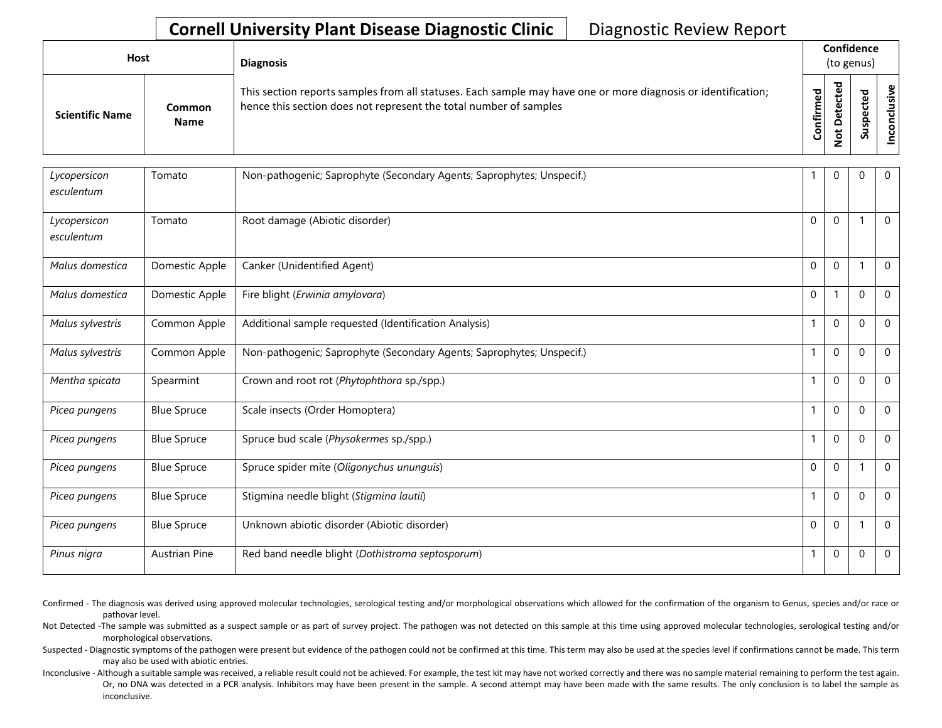| Host |                        |                              | <b>Diagnosis</b>                                                                                                                                                                   | Confidence<br>(to genus) |             |                  |                                     |
|------|------------------------|------------------------------|------------------------------------------------------------------------------------------------------------------------------------------------------------------------------------|--------------------------|-------------|------------------|-------------------------------------|
|      | <b>Scientific Name</b> | <b>Common</b><br><b>Name</b> | This section reports samples from all statuses. Each sample may have one or more diagnosis or identification;<br>hence this section does not represent the total number of samples | ᅙ<br>ω<br>nfirm<br>පි    | ಕ<br>ω<br>ω | ௨<br>s<br>-<br>S | $\mathbf{\omega}$<br><u>.ក</u><br>8 |

| Lycopersicon<br>esculentum | Tomato               | Non-pathogenic; Saprophyte (Secondary Agents; Saprophytes; Unspecif.) |              | $\mathbf 0$      | 0           | $\mathbf 0$  |
|----------------------------|----------------------|-----------------------------------------------------------------------|--------------|------------------|-------------|--------------|
| Lycopersicon<br>esculentum | Tomato               | Root damage (Abiotic disorder)                                        | $\Omega$     | $\mathbf{0}$     |             | $\mathbf{0}$ |
| Malus domestica            | Domestic Apple       | Canker (Unidentified Agent)                                           | $\mathbf 0$  | $\mathbf 0$      |             | $\mathbf 0$  |
| Malus domestica            | Domestic Apple       | Fire blight (Erwinia amylovora)                                       | $\Omega$     |                  | $\Omega$    | $\mathbf 0$  |
| Malus sylvestris           | Common Apple         | Additional sample requested (Identification Analysis)                 |              | $\mathbf 0$      | $\Omega$    | $\mathbf 0$  |
| Malus sylvestris           | Common Apple         | Non-pathogenic; Saprophyte (Secondary Agents; Saprophytes; Unspecif.) | $\mathbf{1}$ | $\mathbf 0$      | $\mathbf 0$ | $\mathbf 0$  |
| Mentha spicata             | Spearmint            | Crown and root rot (Phytophthora sp./spp.)                            |              | $\Omega$         | $\Omega$    | $\mathbf 0$  |
| Picea pungens              | <b>Blue Spruce</b>   | Scale insects (Order Homoptera)                                       |              | $\Omega$         | $\Omega$    | $\mathbf{0}$ |
| Picea pungens              | <b>Blue Spruce</b>   | Spruce bud scale (Physokermes sp./spp.)                               |              | $\boldsymbol{0}$ | $\Omega$    | $\mathbf 0$  |
| Picea pungens              | <b>Blue Spruce</b>   | Spruce spider mite (Oligonychus ununguis)                             | $\Omega$     | $\mathbf{0}$     |             | $\mathbf{0}$ |
| Picea pungens              | <b>Blue Spruce</b>   | Stigmina needle blight (Stigmina lautii)                              |              | $\Omega$         | $\Omega$    | $\mathbf 0$  |
| Picea pungens              | <b>Blue Spruce</b>   | Unknown abiotic disorder (Abiotic disorder)                           | $\Omega$     | $\Omega$         |             | $\mathbf 0$  |
| Pinus nigra                | <b>Austrian Pine</b> | Red band needle blight (Dothistroma septosporum)                      |              | $\boldsymbol{0}$ | $\Omega$    | $\mathbf 0$  |

Confirmed - The diagnosis was derived using approved molecular technologies, serological testing and/or morphological observations which allowed for the confirmation of the organism to Genus, species and/or race or pathovar level.

Not Detected -The sample was submitted as a suspect sample or as part of survey project. The pathogen was not detected on this sample at this time using approved molecular technologies, serological testing and/or morphological observations.

Suspected - Diagnostic symptoms of the pathogen were present but evidence of the pathogen could not be confirmed at this time. This term may also be used at the species level if confirmations cannot be made. This term may also be used with abiotic entries.